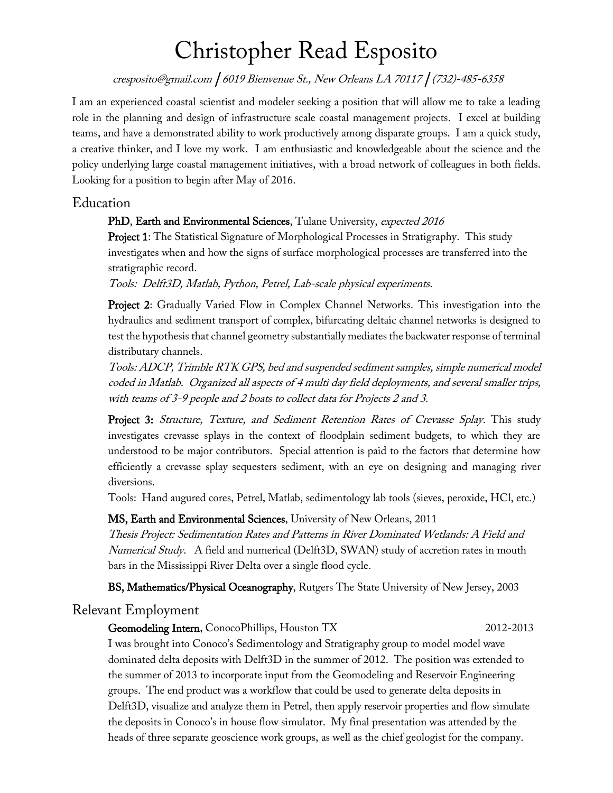# Christopher Read Esposito

cresposito@gmail.com | <sup>6019</sup> Bienvenue St., New Orleans LA 70117 | (732)-485-6358

I am an experienced coastal scientist and modeler seeking a position that will allow me to take a leading role in the planning and design of infrastructure scale coastal management projects. I excel at building teams, and have a demonstrated ability to work productively among disparate groups. I am a quick study, a creative thinker, and I love my work. I am enthusiastic and knowledgeable about the science and the policy underlying large coastal management initiatives, with a broad network of colleagues in both fields. Looking for a position to begin after May of 2016.

# Education

## PhD, Earth and Environmental Sciences, Tulane University, expected 2016

Project 1: The Statistical Signature of Morphological Processes in Stratigraphy. This study investigates when and how the signs of surface morphological processes are transferred into the stratigraphic record.

Tools: Delft3D, Matlab, Python, Petrel, Lab-scale physical experiments.

Project 2: Gradually Varied Flow in Complex Channel Networks. This investigation into the hydraulics and sediment transport of complex, bifurcating deltaic channel networks is designed to test the hypothesis that channel geometry substantially mediates the backwater response of terminal distributary channels.

Tools: ADCP, Trimble RTK GPS, bed and suspended sediment samples, simple numerical model coded in Matlab. Organized all aspects of 4 multi day field deployments, and several smaller trips, with teams of 3-9 people and 2 boats to collect data for Projects 2 and 3.

Project 3: Structure, Texture, and Sediment Retention Rates of Crevasse Splay. This study investigates crevasse splays in the context of floodplain sediment budgets, to which they are understood to be major contributors. Special attention is paid to the factors that determine how efficiently a crevasse splay sequesters sediment, with an eye on designing and managing river diversions.

Tools: Hand augured cores, Petrel, Matlab, sedimentology lab tools (sieves, peroxide, HCl, etc.)

MS, Earth and Environmental Sciences, University of New Orleans, 2011

Thesis Project: Sedimentation Rates and Patterns in River Dominated Wetlands: A Field and Numerical Study. A field and numerical (Delft3D, SWAN) study of accretion rates in mouth bars in the Mississippi River Delta over a single flood cycle.

BS, Mathematics/Physical Oceanography, Rutgers The State University of New Jersey, 2003

## Relevant Employment

#### Geomodeling Intern, ConocoPhillips, Houston TX 2012-2013

I was brought into Conoco's Sedimentology and Stratigraphy group to model model wave dominated delta deposits with Delft3D in the summer of 2012. The position was extended to the summer of 2013 to incorporate input from the Geomodeling and Reservoir Engineering groups. The end product was a workflow that could be used to generate delta deposits in Delft3D, visualize and analyze them in Petrel, then apply reservoir properties and flow simulate the deposits in Conoco's in house flow simulator. My final presentation was attended by the heads of three separate geoscience work groups, as well as the chief geologist for the company.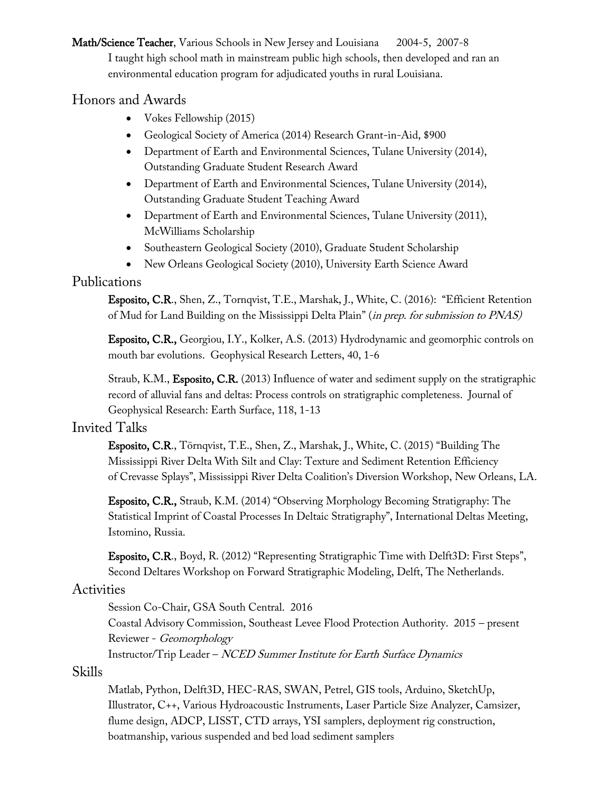Math/Science Teacher, Various Schools in New Jersey and Louisiana 2004-5, 2007-8 I taught high school math in mainstream public high schools, then developed and ran an environmental education program for adjudicated youths in rural Louisiana.

# Honors and Awards

- Vokes Fellowship (2015)
- Geological Society of America (2014) Research Grant-in-Aid, \$900
- Department of Earth and Environmental Sciences, Tulane University (2014), Outstanding Graduate Student Research Award
- Department of Earth and Environmental Sciences, Tulane University (2014), Outstanding Graduate Student Teaching Award
- Department of Earth and Environmental Sciences, Tulane University (2011), McWilliams Scholarship
- Southeastern Geological Society (2010), Graduate Student Scholarship
- New Orleans Geological Society (2010), University Earth Science Award

# Publications

Esposito, C.R., Shen, Z., Tornqvist, T.E., Marshak, J., White, C. (2016): "Efficient Retention of Mud for Land Building on the Mississippi Delta Plain" (in prep. for submission to PNAS)

Esposito, C.R., Georgiou, I.Y., Kolker, A.S. (2013) Hydrodynamic and geomorphic controls on mouth bar evolutions. Geophysical Research Letters, 40, 1-6

Straub, K.M., Esposito, C.R. (2013) Influence of water and sediment supply on the stratigraphic record of alluvial fans and deltas: Process controls on stratigraphic completeness. Journal of Geophysical Research: Earth Surface, 118, 1-13

## Invited Talks

Esposito, C.R., Törnqvist, T.E., Shen, Z., Marshak, J., White, C. (2015) "Building The Mississippi River Delta With Silt and Clay: Texture and Sediment Retention Efficiency of Crevasse Splays", Mississippi River Delta Coalition's Diversion Workshop, New Orleans, LA.

Esposito, C.R., Straub, K.M. (2014) "Observing Morphology Becoming Stratigraphy: The Statistical Imprint of Coastal Processes In Deltaic Stratigraphy", International Deltas Meeting, Istomino, Russia.

Esposito, C.R., Boyd, R. (2012) "Representing Stratigraphic Time with Delft3D: First Steps", Second Deltares Workshop on Forward Stratigraphic Modeling, Delft, The Netherlands.

# **Activities**

Session Co-Chair, GSA South Central. 2016

Coastal Advisory Commission, Southeast Levee Flood Protection Authority. 2015 – present Reviewer - Geomorphology

Instructor/Trip Leader – NCED Summer Institute for Earth Surface Dynamics

## Skills

Matlab, Python, Delft3D, HEC-RAS, SWAN, Petrel, GIS tools, Arduino, SketchUp, Illustrator, C++, Various Hydroacoustic Instruments, Laser Particle Size Analyzer, Camsizer, flume design, ADCP, LISST, CTD arrays, YSI samplers, deployment rig construction, boatmanship, various suspended and bed load sediment samplers